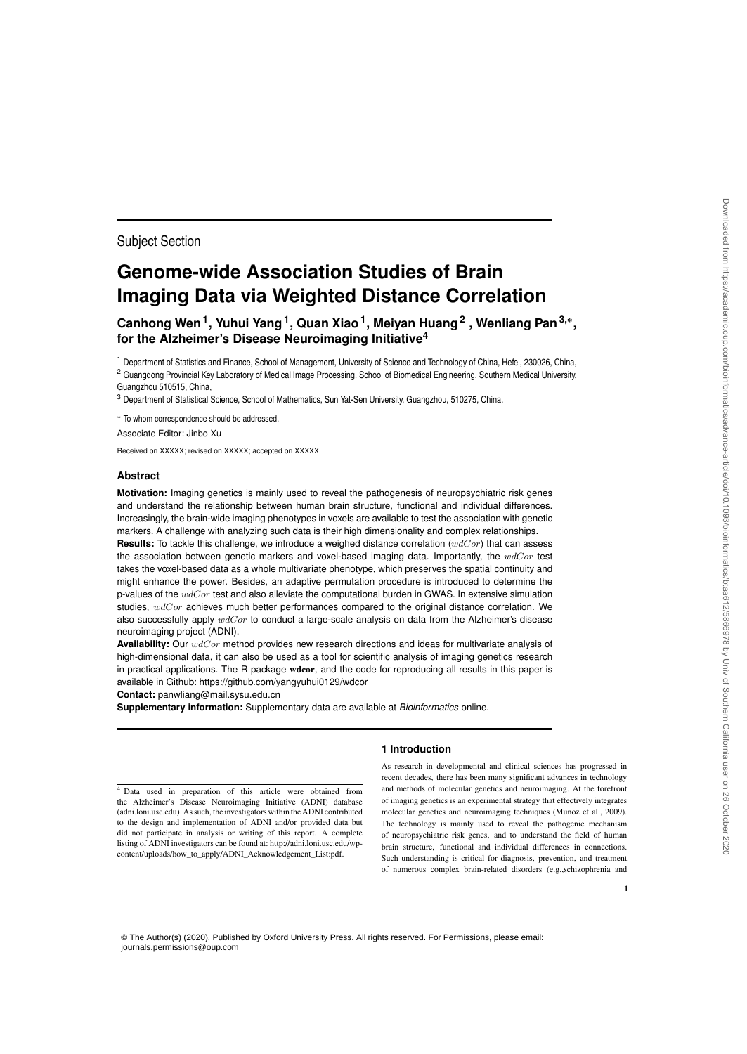# **Genome-wide Association Studies of Brain Imaging Data via Weighted Distance Correlation**

**Canhong Wen<sup>1</sup> , Yuhui Yang<sup>1</sup> , Quan Xiao<sup>1</sup> , Meiyan Huang<sup>2</sup> , Wenliang Pan3,**<sup>∗</sup> **, for the Alzheimer's Disease Neuroimaging Initiative<sup>4</sup>**

<sup>1</sup> Department of Statistics and Finance, School of Management, University of Science and Technology of China, Hefei, 230026, China, <sup>2</sup> Guangdong Provincial Key Laboratory of Medical Image Processing, School of Biomedical Engineering, Southern Medical University, Guangzhou 510515, China,

<sup>3</sup> Department of Statistical Science, School of Mathematics, Sun Yat-Sen University, Guangzhou, 510275, China.

<sup>∗</sup> To whom correspondence should be addressed.

Associate Editor: Jinbo Xu

Subject Section

Received on XXXXX; revised on XXXXX; accepted on XXXXX

#### **Abstract**

**Motivation:** Imaging genetics is mainly used to reveal the pathogenesis of neuropsychiatric risk genes and understand the relationship between human brain structure, functional and individual differences. Increasingly, the brain-wide imaging phenotypes in voxels are available to test the association with genetic markers. A challenge with analyzing such data is their high dimensionality and complex relationships.

**Results:** To tackle this challenge, we introduce a weighed distance correlation (wdCor) that can assess the association between genetic markers and voxel-based imaging data. Importantly, the  $wdCor$  test takes the voxel-based data as a whole multivariate phenotype, which preserves the spatial continuity and might enhance the power. Besides, an adaptive permutation procedure is introduced to determine the p-values of the  $wdCor$  test and also alleviate the computational burden in GWAS. In extensive simulation studies,  $wdCor$  achieves much better performances compared to the original distance correlation. We also successfully apply  $wdCor$  to conduct a large-scale analysis on data from the Alzheimer's disease neuroimaging project (ADNI).

**Availability:** Our wdCor method provides new research directions and ideas for multivariate analysis of high-dimensional data, it can also be used as a tool for scientific analysis of imaging genetics research in practical applications. The R package wdcor, and the code for reproducing all results in this paper is available in Github: https://github.com/yangyuhui0129/wdcor

**Contact:** panwliang@mail.sysu.edu.cn

**Supplementary information:** Supplementary data are available at *Bioinformatics* online.

<sup>4</sup> Data used in preparation of this article were obtained from the Alzheimer's Disease Neuroimaging Initiative (ADNI) database (adni.loni.usc.edu). As such, the investigators within the ADNI contributed to the design and implementation of ADNI and/or provided data but did not participate in analysis or writing of this report. A complete listing of ADNI investigators can be found at: http://adni.loni.usc.edu/wpcontent/uploads/how\_to\_apply/ADNI\_Acknowledgement\_List:pdf.

# **1 Introduction**

As research in developmental and clinical sciences has progressed in recent decades, there has been many significant advances in technology and methods of molecular genetics and neuroimaging. At the forefront of imaging genetics is an experimental strategy that effectively integrates molecular genetics and neuroimaging techniques (Munoz et al., 2009). The technology is mainly used to reveal the pathogenic mechanism of neuropsychiatric risk genes, and to understand the field of human brain structure, functional and individual differences in connections. Such understanding is critical for diagnosis, prevention, and treatment of numerous complex brain-related disorders (e.g.,schizophrenia and

© The Author(s) (2020). Published by Oxford University Press. All rights reserved. For Permissions, please email: journals.permissions@oup.com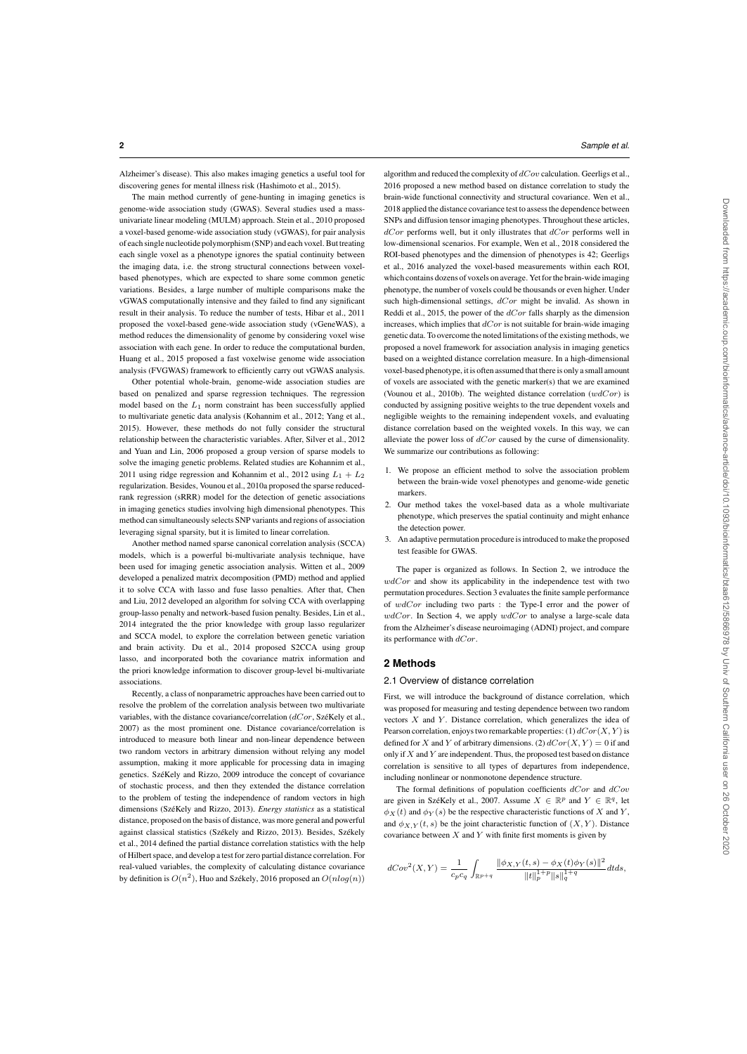Alzheimer's disease). This also makes imaging genetics a useful tool for discovering genes for mental illness risk (Hashimoto et al., 2015).

The main method currently of gene-hunting in imaging genetics is genome-wide association study (GWAS). Several studies used a massunivariate linear modeling (MULM) approach. Stein et al., 2010 proposed a voxel-based genome-wide association study (vGWAS), for pair analysis of each single nucleotide polymorphism (SNP) and each voxel. But treating each single voxel as a phenotype ignores the spatial continuity between the imaging data, i.e. the strong structural connections between voxelbased phenotypes, which are expected to share some common genetic variations. Besides, a large number of multiple comparisons make the vGWAS computationally intensive and they failed to find any significant result in their analysis. To reduce the number of tests, Hibar et al., 2011 proposed the voxel-based gene-wide association study (vGeneWAS), a method reduces the dimensionality of genome by considering voxel wise association with each gene. In order to reduce the computational burden, Huang et al., 2015 proposed a fast voxelwise genome wide association analysis (FVGWAS) framework to efficiently carry out vGWAS analysis.

Other potential whole-brain, genome-wide association studies are based on penalized and sparse regression techniques. The regression model based on the  $L_1$  norm constraint has been successfully applied to multivariate genetic data analysis (Kohannim et al., 2012; Yang et al., 2015). However, these methods do not fully consider the structural relationship between the characteristic variables. After, Silver et al., 2012 and Yuan and Lin, 2006 proposed a group version of sparse models to solve the imaging genetic problems. Related studies are Kohannim et al., 2011 using ridge regression and Kohannim et al., 2012 using  $L_1 + L_2$ regularization. Besides, Vounou et al., 2010a proposed the sparse reducedrank regression (sRRR) model for the detection of genetic associations in imaging genetics studies involving high dimensional phenotypes. This method can simultaneously selects SNP variants and regions of association leveraging signal sparsity, but it is limited to linear correlation.

Another method named sparse canonical correlation analysis (SCCA) models, which is a powerful bi-multivariate analysis technique, have been used for imaging genetic association analysis. Witten et al., 2009 developed a penalized matrix decomposition (PMD) method and applied it to solve CCA with lasso and fuse lasso penalties. After that, Chen and Liu, 2012 developed an algorithm for solving CCA with overlapping group-lasso penalty and network-based fusion penalty. Besides, Lin et al., 2014 integrated the the prior knowledge with group lasso regularizer and SCCA model, to explore the correlation between genetic variation and brain activity. Du et al., 2014 proposed S2CCA using group lasso, and incorporated both the covariance matrix information and the priori knowledge information to discover group-level bi-multivariate associations.

Recently, a class of nonparametric approaches have been carried out to resolve the problem of the correlation analysis between two multivariate variables, with the distance covariance/correlation  $(dCor, SzéKely et al.,)$ 2007) as the most prominent one. Distance covariance/correlation is introduced to measure both linear and non-linear dependence between two random vectors in arbitrary dimension without relying any model assumption, making it more applicable for processing data in imaging genetics. SzéKely and Rizzo, 2009 introduce the concept of covariance of stochastic process, and then they extended the distance correlation to the problem of testing the independence of random vectors in high dimensions (SzéKely and Rizzo, 2013). *Energy statistics* as a statistical distance, proposed on the basis of distance, was more general and powerful against classical statistics (Székely and Rizzo, 2013). Besides, Székely et al., 2014 defined the partial distance correlation statistics with the help of Hilbert space, and develop a test for zero partial distance correlation. For real-valued variables, the complexity of calculating distance covariance by definition is  $O(n^2)$ , Huo and Székely, 2016 proposed an  $O(n \log(n))$ 

algorithm and reduced the complexity of  $dCov$  calculation. Geerligs et al., 2016 proposed a new method based on distance correlation to study the brain-wide functional connectivity and structural covariance. Wen et al., 2018 applied the distance covariance test to assess the dependence between SNPs and diffusion tensor imaging phenotypes. Throughout these articles,  $dCor$  performs well, but it only illustrates that  $dCor$  performs well in low-dimensional scenarios. For example, Wen et al., 2018 considered the ROI-based phenotypes and the dimension of phenotypes is 42; Geerligs et al., 2016 analyzed the voxel-based measurements within each ROI, which contains dozens of voxels on average. Yet for the brain-wide imaging phenotype, the number of voxels could be thousands or even higher. Under such high-dimensional settings,  $dCor$  might be invalid. As shown in Reddi et al., 2015, the power of the  $dCor$  falls sharply as the dimension increases, which implies that  $dCor$  is not suitable for brain-wide imaging genetic data. To overcome the noted limitations of the existing methods, we proposed a novel framework for association analysis in imaging genetics based on a weighted distance correlation measure. In a high-dimensional voxel-based phenotype, it is often assumed that there is only a small amount of voxels are associated with the genetic marker(s) that we are examined (Vounou et al., 2010b). The weighted distance correlation  $(wdCor)$  is conducted by assigning positive weights to the true dependent voxels and negligible weights to the remaining independent voxels, and evaluating distance correlation based on the weighted voxels. In this way, we can alleviate the power loss of  $dCor$  caused by the curse of dimensionality. We summarize our contributions as following:

- 1. We propose an efficient method to solve the association problem between the brain-wide voxel phenotypes and genome-wide genetic markers.
- 2. Our method takes the voxel-based data as a whole multivariate phenotype, which preserves the spatial continuity and might enhance the detection power.
- 3. An adaptive permutation procedure is introduced to make the proposed test feasible for GWAS.

The paper is organized as follows. In Section 2, we introduce the  $wdCor$  and show its applicability in the independence test with two permutation procedures. Section 3 evaluates the finite sample performance of  $wdCor$  including two parts : the Type-I error and the power of  $wdCor.$  In Section 4, we apply  $wdCor$  to analyse a large-scale data from the Alzheimer's disease neuroimaging (ADNI) project, and compare its performance with  $dCor$ .

#### **2 Methods**

#### 2.1 Overview of distance correlation

First, we will introduce the background of distance correlation, which was proposed for measuring and testing dependence between two random vectors  $X$  and  $Y$ . Distance correlation, which generalizes the idea of Pearson correlation, enjoys two remarkable properties: (1)  $dCor(X, Y)$  is defined for X and Y of arbitrary dimensions. (2)  $dCor(X, Y) = 0$  if and only if  $X$  and  $Y$  are independent. Thus, the proposed test based on distance correlation is sensitive to all types of departures from independence, including nonlinear or nonmonotone dependence structure.

The formal definitions of population coefficients  $dCor$  and  $dCov$ are given in SzéKely et al., 2007. Assume  $X \in \mathbb{R}^p$  and  $Y \in \mathbb{R}^q$ , let  $\phi_X(t)$  and  $\phi_Y(s)$  be the respective characteristic functions of X and Y, and  $\phi_{X,Y}(t,s)$  be the joint characteristic function of  $(X,Y)$ . Distance covariance between  $X$  and  $Y$  with finite first moments is given by

$$
dCov^{2}(X,Y) = \frac{1}{c_{p}c_{q}} \int_{\mathbb{R}^{p+q}} \frac{\|\phi_{X,Y}(t,s) - \phi_{X}(t)\phi_{Y}(s)\|^{2}}{\|t\|_{p}^{1+p} \|s\|_{q}^{1+q}} dt ds,
$$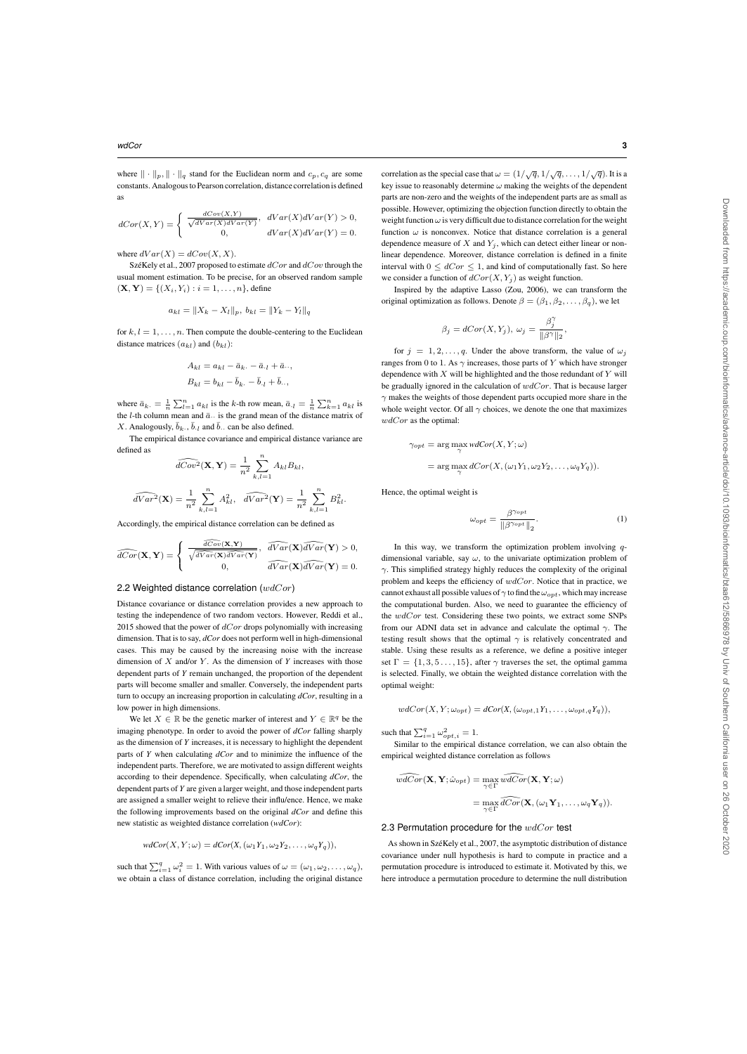where  $\|\cdot\|_p, \|\cdot\|_q$  stand for the Euclidean norm and  $c_p, c_q$  are some constants. Analogous to Pearson correlation, distance correlation is defined as

$$
dCor(X,Y) = \begin{cases} \frac{dCov(X,Y)}{\sqrt{dVar(X)dVar(Y)}}, & dVar(X)dVar(Y) > 0, \\ 0, & dVar(X)dVar(Y) = 0. \end{cases}
$$

where  $dVar(X) = dCov(X, X)$ .

SzéKely et al., 2007 proposed to estimate  $dCor$  and  $dCov$  through the usual moment estimation. To be precise, for an observed random sample  $(X, Y) = \{(X_i, Y_i) : i = 1, ..., n\}$ , define

$$
a_{kl} = \|X_k - X_l\|_p, \; b_{kl} = \|Y_k - Y_l\|_q
$$

for  $k, l = 1, \ldots, n$ . Then compute the double-centering to the Euclidean distance matrices  $(a_{kl})$  and  $(b_{kl})$ :

$$
A_{kl} = a_{kl} - \bar{a}_{k.} - \bar{a}_{.l} + \bar{a}_{.l},
$$
  

$$
B_{kl} = b_{kl} - \bar{b}_{k.} - \bar{b}_{.l} + \bar{b}_{.l},
$$

where  $\bar{a}_{k} = \frac{1}{n} \sum_{l=1}^{n} a_{kl}$  is the k-th row mean,  $\bar{a}_{\cdot l} = \frac{1}{n} \sum_{k=1}^{n} a_{kl}$  is the *l*-th column mean and  $\bar{a}$ . is the grand mean of the distance matrix of X. Analogously,  $\bar{b}_k$ ,  $\bar{b}_l$  and  $\bar{b}_l$  can be also defined.

The empirical distance covariance and empirical distance variance are defined as

$$
\widehat{dCov}^2(\mathbf{X}, \mathbf{Y}) = \frac{1}{n^2} \sum_{k,l=1}^n A_{kl} B_{kl},
$$

$$
\widehat{dVar}^2(\mathbf{X}) = \frac{1}{n^2} \sum_{k,l=1}^n A_{kl}^2, \quad \widehat{dVar}^2(\mathbf{Y}) = \frac{1}{n^2} \sum_{k,l=1}^n B_{kl}^2.
$$

Accordingly, the empirical distance correlation can be defined as

$$
\widehat{dCor}(\mathbf{X}, \mathbf{Y}) = \begin{cases}\n\frac{\widehat{dCov}(\mathbf{X}, \mathbf{Y})}{\sqrt{\widehat{dVar}(\mathbf{X}) \widehat{dVar}(\mathbf{Y})}}, & \widehat{dVar}(\mathbf{X}) \widehat{dVar}(\mathbf{Y}) > 0, \\
0, & \widehat{dVar}(\mathbf{X}) \widehat{dVar}(\mathbf{Y}) = 0.\n\end{cases}
$$

## 2.2 Weighted distance correlation  $(wdCor)$

Distance covariance or distance correlation provides a new approach to testing the independence of two random vectors. However, Reddi et al., 2015 showed that the power of  $dCor$  drops polynomially with increasing dimension. That is to say, *dCor* does not perform well in high-dimensional cases. This may be caused by the increasing noise with the increase dimension of X and/or Y. As the dimension of Y increases with those dependent parts of *Y* remain unchanged, the proportion of the dependent parts will become smaller and smaller. Conversely, the independent parts turn to occupy an increasing proportion in calculating *dCor*, resulting in a low power in high dimensions.

We let  $X \in \mathbb{R}$  be the genetic marker of interest and  $Y \in \mathbb{R}^q$  be the imaging phenotype. In order to avoid the power of *dCor* falling sharply as the dimension of *Y* increases, it is necessary to highlight the dependent parts of *Y* when calculating *dCor* and to minimize the influence of the independent parts. Therefore, we are motivated to assign different weights according to their dependence. Specifically, when calculating *dCor*, the dependent parts of *Y* are given a larger weight, and those independent parts are assigned a smaller weight to relieve their influ/ence. Hence, we make the following improvements based on the original *dCor* and define this new statistic as weighted distance correlation (*wdCor*):

$$
wdCor(X, Y; \omega) = dCor(X, (\omega_1 Y_1, \omega_2 Y_2, \dots, \omega_q Y_q)),
$$

such that  $\sum_{i=1}^{q} \omega_i^2 = 1$ . With various values of  $\omega = (\omega_1, \omega_2, \dots, \omega_q)$ , we obtain a class of distance correlation, including the original distance

correlation as the special case that  $\omega = (1/\sqrt{q}, 1/\sqrt{q}, \ldots, 1/\sqrt{q})$ . It is a key issue to reasonably determine  $\omega$  making the weights of the dependent parts are non-zero and the weights of the independent parts are as small as possible. However, optimizing the objection function directly to obtain the weight function  $\omega$  is very difficult due to distance correlation for the weight function  $\omega$  is nonconvex. Notice that distance correlation is a general dependence measure of  $X$  and  $Y_i$ , which can detect either linear or nonlinear dependence. Moreover, distance correlation is defined in a finite interval with  $0 \leq dCor \leq 1$ , and kind of computationally fast. So here we consider a function of  $dCor(X, Y_i)$  as weight function.

Inspired by the adaptive Lasso (Zou, 2006), we can transform the original optimization as follows. Denote  $\beta = (\beta_1, \beta_2, \dots, \beta_q)$ , we let

$$
\beta_j = dCor(X, Y_j), \ \omega_j = \frac{\beta_j^{\gamma}}{\|\beta^{\gamma}\|_2},
$$

for  $j = 1, 2, ..., q$ . Under the above transform, the value of  $\omega_j$ ranges from 0 to 1. As  $\gamma$  increases, those parts of Y which have stronger dependence with  $X$  will be highlighted and the those redundant of  $Y$  will be gradually ignored in the calculation of  $wdCor$ . That is because larger  $\gamma$  makes the weights of those dependent parts occupied more share in the whole weight vector. Of all  $\gamma$  choices, we denote the one that maximizes  $wdCor$  as the optimal:

$$
\gamma_{opt} = \arg\max_{\gamma} \text{wdCor}(X, Y; \omega)
$$
  
= 
$$
\arg\max_{\gamma} dCor(X, (\omega_1 Y_1, \omega_2 Y_2, \dots, \omega_q Y_q)).
$$

Hence, the optimal weight is

$$
\omega_{opt} = \frac{\beta^{\gamma_{opt}}}{\|\beta^{\gamma_{opt}}\|_2}.
$$
\n(1)

In this way, we transform the optimization problem involving  $q$ dimensional variable, say  $\omega$ , to the univariate optimization problem of  $\gamma$ . This simplified strategy highly reduces the complexity of the original problem and keeps the efficiency of  $wdCor$ . Notice that in practice, we cannot exhaust all possible values of  $\gamma$  to find the  $\omega_{opt}$ , which may increase the computational burden. Also, we need to guarantee the efficiency of the  $wdCor$  test. Considering these two points, we extract some SNPs from our ADNI data set in advance and calculate the optimal  $\gamma$ . The testing result shows that the optimal  $\gamma$  is relatively concentrated and stable. Using these results as a reference, we define a positive integer set  $\Gamma = \{1, 3, 5, \ldots, 15\}$ , after  $\gamma$  traverses the set, the optimal gamma is selected. Finally, we obtain the weighted distance correlation with the optimal weight:

$$
wdCor(X, Y; \omega_{opt}) = dCor(X, (\omega_{opt,1}Y_1, \ldots, \omega_{opt,q}Y_q)),
$$

such that  $\sum_{i=1}^{q} \omega_{opt,i}^2 = 1$ .

Similar to the empirical distance correlation, we can also obtain the empirical weighted distance correlation as follows

$$
\widehat{wdCor}(\mathbf{X}, \mathbf{Y}; \hat{\omega}_{opt}) = \max_{\gamma \in \Gamma} \widehat{wdCor}(\mathbf{X}, \mathbf{Y}; \omega)
$$

$$
= \max_{\gamma \in \Gamma} \widehat{dCor}(\mathbf{X}, (\omega_1 \mathbf{Y}_1, \dots, \omega_q \mathbf{Y}_q)).
$$

2.3 Permutation procedure for the  $wdCor$  test

As shown in SzéKely et al., 2007, the asymptotic distribution of distance covariance under null hypothesis is hard to compute in practice and a permutation procedure is introduced to estimate it. Motivated by this, we here introduce a permutation procedure to determine the null distribution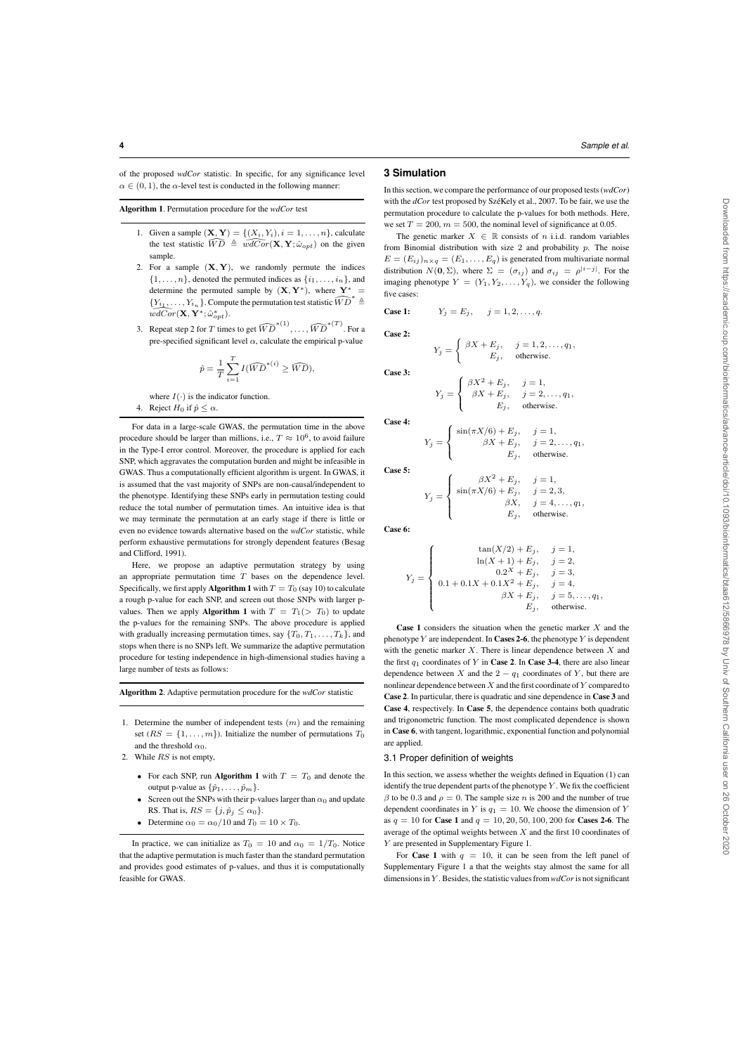Algorithm 1. Permutation procedure for the *wdCor* test

- 1. Given a sample  $(\mathbf{X}, \mathbf{Y}) = \{ (X_i, Y_i), i = 1, ..., n \}$ , calculate the test statistic  $\widehat{WD} \triangleq \widehat{wdCor}(\mathbf{X}, \mathbf{Y}; \hat{\omega}_{opt})$  on the given sample.
- 2. For a sample  $(X, Y)$ , we randomly permute the indices  $\{1, \ldots, n\}$ , denoted the permuted indices as  $\{i_1, \ldots, i_n\}$ , and determine the permuted sample by  $(X, Y^*)$ , where Y<sup>\*</sup>  ${Y_{i_1}, \ldots, Y_{i_n}}$ . Compute the permutation test statistic  $\widehat{WD}^* \triangleq$  $\widehat{wdCor}(\mathbf{X}, \mathbf{Y}^*; \hat{\omega}^*_{opt}).$
- 3. Repeat step 2 for T times to get  $\widehat{WD}^{*(1)}, \ldots, \widehat{WD}^{*(T)}$ . For a pre-specified significant level  $\alpha$ , calculate the empirical p-value

$$
\hat{p} = \frac{1}{T} \sum_{i=1}^{T} I(\widehat{WD}^{*(i)} \ge \widehat{WD}),
$$

where  $I(\cdot)$  is the indicator function.

4. Reject  $H_0$  if  $\hat{p} \leq \alpha$ .

For data in a large-scale GWAS, the permutation time in the above procedure should be larger than millions, i.e.,  $T \approx 10^6$ , to avoid failure in the Type-I error control. Moreover, the procedure is applied for each SNP, which aggravates the computation burden and might be infeasible in GWAS. Thus a computationally efficient algorithm is urgent. In GWAS, it is assumed that the vast majority of SNPs are non-causal/independent to the phenotype. Identifying these SNPs early in permutation testing could reduce the total number of permutation times. An intuitive idea is that we may terminate the permutation at an early stage if there is little or even no evidence towards alternative based on the *wdCor* statistic, while perform exhaustive permutations for strongly dependent features (Besag and Clifford, 1991).

Here, we propose an adaptive permutation strategy by using an appropriate permutation time  $T$  bases on the dependence level. Specifically, we first apply Algorithm 1 with  $T = T_0$  (say 10) to calculate a rough p-value for each SNP, and screen out those SNPs with larger pvalues. Then we apply **Algorithm 1** with  $T = T_1$  (>  $T_0$ ) to update the p-values for the remaining SNPs. The above procedure is applied with gradually increasing permutation times, say  $\{T_0, T_1, \ldots, T_k\}$ , and stops when there is no SNPs left. We summarize the adaptive permutation procedure for testing independence in high-dimensional studies having a large number of tests as follows:

Algorithm 2. Adaptive permutation procedure for the *wdCor* statistic

- 1. Determine the number of independent tests  $(m)$  and the remaining set  $(RS = \{1, \ldots, m\})$ . Initialize the number of permutations  $T_0$ and the threshold  $\alpha_0$ .
- 2. While RS is not empty,
	- For each SNP, run Algorithm 1 with  $T = T_0$  and denote the output p-value as  $\{\hat{p}_1, \ldots, \hat{p}_m\}$ .
	- Screen out the SNPs with their p-values larger than  $\alpha_0$  and update RS. That is,  $RS = \{j, \hat{p}_j \le \alpha_0\}.$
	- Determine  $\alpha_0 = \alpha_0/10$  and  $T_0 = 10 \times T_0$ .

#### **3 Simulation**

In this section, we compare the performance of our proposed tests (*wdCor*) with the *dCor* test proposed by SzéKely et al., 2007. To be fair, we use the permutation procedure to calculate the p-values for both methods. Here, we set  $T = 200$ ,  $m = 500$ , the nominal level of significance at 0.05.

The genetic marker  $X \in \mathbb{R}$  consists of n i.i.d. random variables from Binomial distribution with size 2 and probability p. The noise  $E = (E_{ij})_{n \times q} = (E_1, \dots, E_q)$  is generated from multivariate normal distribution  $N(\mathbf{0}, \Sigma)$ , where  $\Sigma = (\sigma_{ij})$  and  $\sigma_{ij} = \rho^{|i-j|}$ . For the imaging phenotype  $Y = (Y_1, Y_2, \ldots, Y_q)$ , we consider the following five cases:

Case 1: 
$$
Y_j = E_j
$$
,  $j = 1, 2, ..., q$ .

Case 2:

Case 3

Case 4:

$$
Y_j = \begin{cases} \beta X + E_j, & j = 1, 2, \dots, q_1, \\ E_j, & \text{otherwise.} \end{cases}
$$

$$
Y_j = \begin{cases} \beta X^2 + E_j, & j = 1, \\ \beta X + E_j, & j = 2, ..., q_1, \\ E_j, & \text{otherwise.} \end{cases}
$$

Case 5

 $Y_j =$ 

 $\sqrt{ }$ J  $\mathbf{I}$ 

$$
Y_j = \begin{cases} \beta X^2 + E_j, & j = 1, \\ \sin(\pi X/6) + E_j, & j = 2, 3, \\ \beta X, & j = 4, \dots, q_1, \\ E_j, & \text{otherwise.} \end{cases}
$$

 $sin(\pi X/6) + E_j,$   $j = 1,$ <br>  $\beta X + E_j,$   $j = 2,$ 

 $j = 2, \ldots, q_1,$ 

 $E_i$ , otherwise.

Case 6:

$$
Y_j = \left\{ \begin{array}{c} \tan(X/2) + E_j, \quad j = 1, \\ \ln(X+1) + E_j, \quad j = 2, \\ 0.2^X + E_j, \quad j = 3, \\ 0.1 + 0.1X + 0.1X^2 + E_j, \quad j = 4, \\ \beta X + E_j, \quad j = 5, \ldots, q_1, \\ E_j, \quad \text{otherwise.} \end{array} \right.
$$

**Case 1** considers the situation when the genetic marker  $X$  and the phenotype Y are independent. In Cases 2-6, the phenotype Y is dependent with the genetic marker  $X$ . There is linear dependence between  $X$  and the first  $q_1$  coordinates of Y in Case 2. In Case 3-4, there are also linear dependence between X and the  $2 - q_1$  coordinates of Y, but there are nonlinear dependence between  $X$  and the first coordinate of  $Y$  compared to Case 2. In particular, there is quadratic and sine dependence in Case 3 and Case 4, respectively. In Case 5, the dependence contains both quadratic and trigonometric function. The most complicated dependence is shown in Case 6, with tangent, logarithmic, exponential function and polynomial are applied.

#### 3.1 Proper definition of weights

In this section, we assess whether the weights defined in Equation (1) can identify the true dependent parts of the phenotype  $Y$ . We fix the coefficient  $\beta$  to be 0.3 and  $\rho = 0$ . The sample size *n* is 200 and the number of true dependent coordinates in Y is  $q_1 = 10$ . We choose the dimension of Y as  $q = 10$  for Case 1 and  $q = 10, 20, 50, 100, 200$  for Cases 2-6. The average of the optimal weights between  $X$  and the first 10 coordinates of Y are presented in Supplementary Figure 1.

For Case 1 with  $q = 10$ , it can be seen from the left panel of Supplementary Figure 1 a that the weights stay almost the same for all dimensions in Y . Besides, the statistic values from *wdCor* is not significant

In practice, we can initialize as  $T_0 = 10$  and  $\alpha_0 = 1/T_0$ . Notice that the adaptive permutation is much faster than the standard permutation and provides good estimates of p-values, and thus it is computationally feasible for GWAS.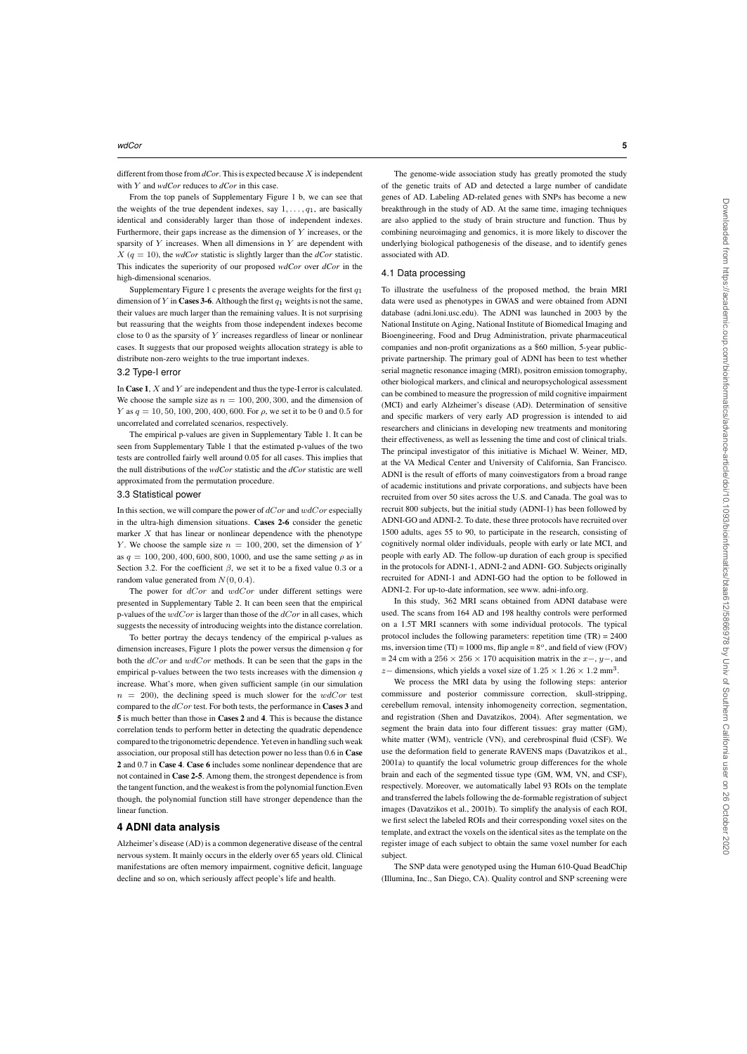different from those from  $dCor$ . This is expected because  $X$  is independent with Y and *wdCor* reduces to *dCor* in this case.

From the top panels of Supplementary Figure 1 b, we can see that the weights of the true dependent indexes, say  $1, \ldots, q_1$ , are basically identical and considerably larger than those of independent indexes. Furthermore, their gaps increase as the dimension of  $Y$  increases, or the sparsity of  $Y$  increases. When all dimensions in  $Y$  are dependent with  $X$  ( $q = 10$ ), the *wdCor* statistic is slightly larger than the *dCor* statistic. This indicates the superiority of our proposed *wdCor* over *dCor* in the high-dimensional scenarios.

Supplementary Figure 1 c presents the average weights for the first  $q_1$ dimension of Y in Cases 3-6. Although the first  $q_1$  weights is not the same, their values are much larger than the remaining values. It is not surprising but reassuring that the weights from those independent indexes become close to 0 as the sparsity of Y increases regardless of linear or nonlinear cases. It suggests that our proposed weights allocation strategy is able to distribute non-zero weights to the true important indexes.

# 3.2 Type-I error

In Case 1,  $X$  and  $Y$  are independent and thus the type-I error is calculated. We choose the sample size as  $n = 100, 200, 300$ , and the dimension of Y as  $q = 10, 50, 100, 200, 400, 600$ . For  $\rho$ , we set it to be 0 and 0.5 for uncorrelated and correlated scenarios, respectively.

The empirical p-values are given in Supplementary Table 1. It can be seen from Supplementary Table 1 that the estimated p-values of the two tests are controlled fairly well around 0.05 for all cases. This implies that the null distributions of the *wdCor* statistic and the *dCor* statistic are well approximated from the permutation procedure.

#### 3.3 Statistical power

In this section, we will compare the power of  $dCor$  and  $wdCor$  especially in the ultra-high dimension situations. Cases 2-6 consider the genetic marker  $X$  that has linear or nonlinear dependence with the phenotype Y. We choose the sample size  $n = 100, 200$ , set the dimension of Y as  $q = 100, 200, 400, 600, 800, 1000$ , and use the same setting  $\rho$  as in Section 3.2. For the coefficient  $\beta$ , we set it to be a fixed value 0.3 or a random value generated from  $N(0, 0.4)$ .

The power for  $dCor$  and  $wdCor$  under different settings were presented in Supplementary Table 2. It can been seen that the empirical p-values of the  $wdCor$  is larger than those of the  $dCor$  in all cases, which suggests the necessity of introducing weights into the distance correlation.

To better portray the decays tendency of the empirical p-values as dimension increases, Figure 1 plots the power versus the dimension  $q$  for both the dCor and  $wdCor$  methods. It can be seen that the gaps in the empirical p-values between the two tests increases with the dimension  $q$ increase. What's more, when given sufficient sample (in our simulation  $n = 200$ , the declining speed is much slower for the  $wdCor$  test compared to the  $dCor$  test. For both tests, the performance in **Cases 3** and 5 is much better than those in Cases 2 and 4. This is because the distance correlation tends to perform better in detecting the quadratic dependence compared to the trigonometric dependence. Yet even in handling such weak association, our proposal still has detection power no less than 0.6 in Case 2 and 0.7 in Case 4. Case 6 includes some nonlinear dependence that are not contained in Case 2-5. Among them, the strongest dependence is from the tangent function, and the weakest is from the polynomial function.Even though, the polynomial function still have stronger dependence than the linear function.

# **4 ADNI data analysis**

Alzheimer's disease (AD) is a common degenerative disease of the central nervous system. It mainly occurs in the elderly over 65 years old. Clinical manifestations are often memory impairment, cognitive deficit, language decline and so on, which seriously affect people's life and health.

The genome-wide association study has greatly promoted the study of the genetic traits of AD and detected a large number of candidate genes of AD. Labeling AD-related genes with SNPs has become a new breakthrough in the study of AD. At the same time, imaging techniques are also applied to the study of brain structure and function. Thus by combining neuroimaging and genomics, it is more likely to discover the underlying biological pathogenesis of the disease, and to identify genes associated with AD.

#### 4.1 Data processing

To illustrate the usefulness of the proposed method, the brain MRI data were used as phenotypes in GWAS and were obtained from ADNI database (adni.loni.usc.edu). The ADNI was launched in 2003 by the National Institute on Aging, National Institute of Biomedical Imaging and Bioengineering, Food and Drug Administration, private pharmaceutical companies and non-profit organizations as a \$60 million, 5-year publicprivate partnership. The primary goal of ADNI has been to test whether serial magnetic resonance imaging (MRI), positron emission tomography, other biological markers, and clinical and neuropsychological assessment can be combined to measure the progression of mild cognitive impairment (MCI) and early Alzheimer's disease (AD). Determination of sensitive and specific markers of very early AD progression is intended to aid researchers and clinicians in developing new treatments and monitoring their effectiveness, as well as lessening the time and cost of clinical trials. The principal investigator of this initiative is Michael W. Weiner, MD, at the VA Medical Center and University of California, San Francisco. ADNI is the result of efforts of many coinvestigators from a broad range of academic institutions and private corporations, and subjects have been recruited from over 50 sites across the U.S. and Canada. The goal was to recruit 800 subjects, but the initial study (ADNI-1) has been followed by ADNI-GO and ADNI-2. To date, these three protocols have recruited over 1500 adults, ages 55 to 90, to participate in the research, consisting of cognitively normal older individuals, people with early or late MCI, and people with early AD. The follow-up duration of each group is specified in the protocols for ADNI-1, ADNI-2 and ADNI- GO. Subjects originally recruited for ADNI-1 and ADNI-GO had the option to be followed in ADNI-2. For up-to-date information, see www. adni-info.org.

In this study, 362 MRI scans obtained from ADNI database were used. The scans from 164 AD and 198 healthy controls were performed on a 1.5T MRI scanners with some individual protocols. The typical protocol includes the following parameters: repetition time (TR) = 2400 ms, inversion time (TI) = 1000 ms, flip angle =  $8^\circ$ , and field of view (FOV)  $= 24$  cm with a 256 × 256 × 170 acquisition matrix in the x–, y–, and z– dimensions, which yields a voxel size of  $1.25 \times 1.26 \times 1.2$  mm<sup>3</sup>.

We process the MRI data by using the following steps: anterior commissure and posterior commissure correction, skull-stripping, cerebellum removal, intensity inhomogeneity correction, segmentation, and registration (Shen and Davatzikos, 2004). After segmentation, we segment the brain data into four different tissues: gray matter (GM), white matter (WM), ventricle (VN), and cerebrospinal fluid (CSF). We use the deformation field to generate RAVENS maps (Davatzikos et al., 2001a) to quantify the local volumetric group differences for the whole brain and each of the segmented tissue type (GM, WM, VN, and CSF), respectively. Moreover, we automatically label 93 ROIs on the template and transferred the labels following the de-formable registration of subject images (Davatzikos et al., 2001b). To simplify the analysis of each ROI, we first select the labeled ROIs and their corresponding voxel sites on the template, and extract the voxels on the identical sites as the template on the register image of each subject to obtain the same voxel number for each subject.

The SNP data were genotyped using the Human 610-Quad BeadChip (Illumina, Inc., San Diego, CA). Quality control and SNP screening were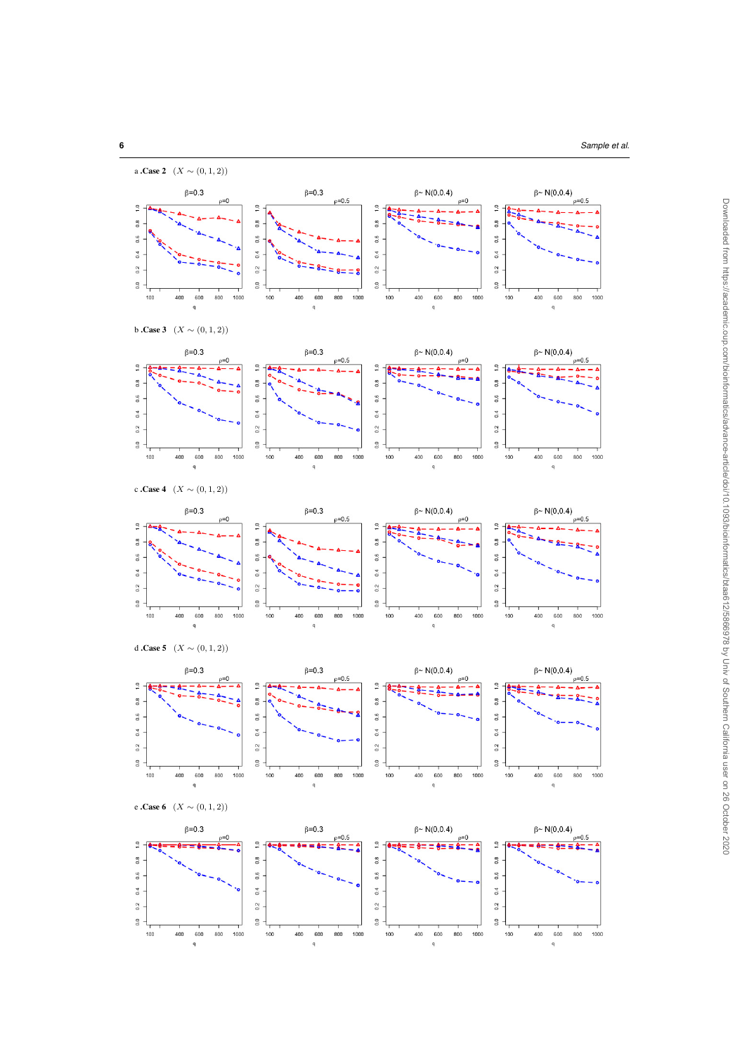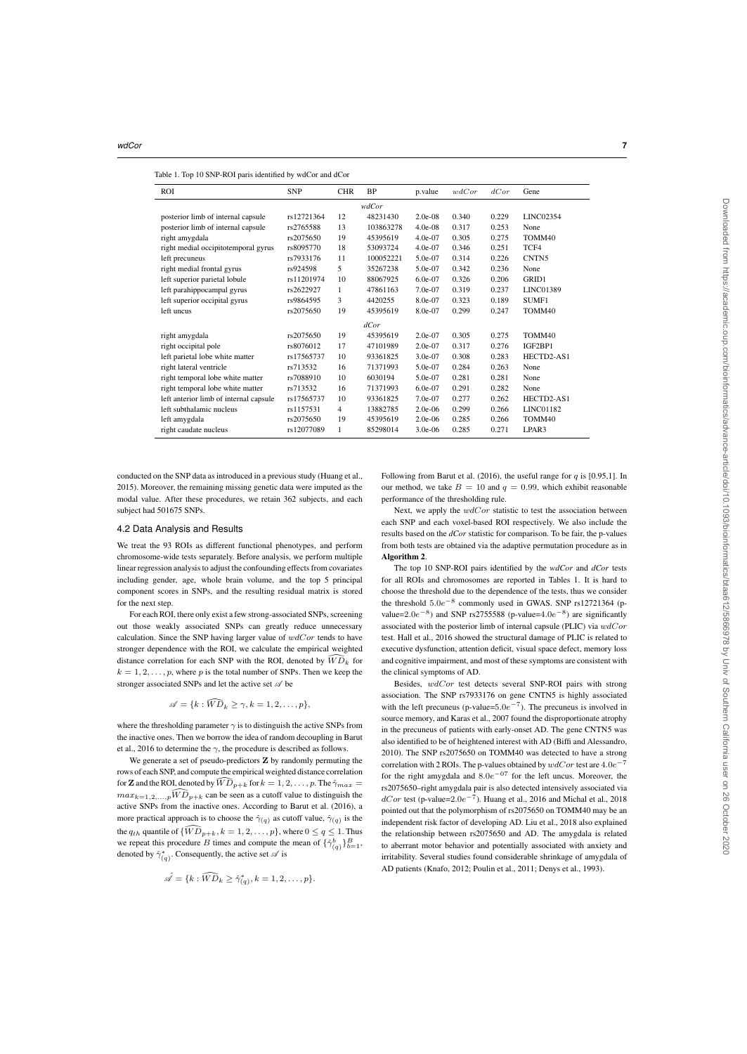|  | Table 1. Top 10 SNP-ROI paris identified by wdCor and dCor |  |
|--|------------------------------------------------------------|--|
|  |                                                            |  |

| <b>ROI</b>                             | <b>SNP</b> | <b>CHR</b>     | <b>BP</b> | p.value    | wdCor | dCor  | Gene              |  |  |  |  |
|----------------------------------------|------------|----------------|-----------|------------|-------|-------|-------------------|--|--|--|--|
| wdCor                                  |            |                |           |            |       |       |                   |  |  |  |  |
| posterior limb of internal capsule     | rs12721364 | 12             | 48231430  | $2.0e-0.8$ | 0.340 | 0.229 | LINC02354         |  |  |  |  |
| posterior limb of internal capsule     | rs2765588  | 13             | 103863278 | $4.0e-08$  | 0.317 | 0.253 | None              |  |  |  |  |
| right amygdala                         | rs2075650  | 19             | 45395619  | $4.0e-07$  | 0.305 | 0.275 | TOMM40            |  |  |  |  |
| right medial occipitotemporal gyrus    | rs8095770  | 18             | 53093724  | $4.0e-07$  | 0.346 | 0.251 | TCF4              |  |  |  |  |
| left precuneus                         | rs7933176  | 11             | 100052221 | $5.0e-07$  | 0.314 | 0.226 | CNTN <sub>5</sub> |  |  |  |  |
| right medial frontal gyrus             | rs924598   | 5              | 35267238  | 5.0e-07    | 0.342 | 0.236 | None              |  |  |  |  |
| left superior parietal lobule          | rs11201974 | 10             | 88067925  | $6.0e-07$  | 0.326 | 0.206 | <b>GRID1</b>      |  |  |  |  |
| left parahippocampal gyrus             | rs2622927  | 1              | 47861163  | 7.0e-07    | 0.319 | 0.237 | LINC01389         |  |  |  |  |
| left superior occipital gyrus          | rs9864595  | 3              | 4420255   | 8.0e-07    | 0.323 | 0.189 | SUMF1             |  |  |  |  |
| left uncus                             | rs2075650  | 19             | 45395619  | 8.0e-07    | 0.299 | 0.247 | TOMM40            |  |  |  |  |
| dCor                                   |            |                |           |            |       |       |                   |  |  |  |  |
| right amygdala                         | rs2075650  | 19             | 45395619  | $2.0e-07$  | 0.305 | 0.275 | TOMM40            |  |  |  |  |
| right occipital pole                   | rs8076012  | 17             | 47101989  | 2.0e-07    | 0.317 | 0.276 | IGF2BP1           |  |  |  |  |
| left parietal lobe white matter        | rs17565737 | 10             | 93361825  | $3.0e-07$  | 0.308 | 0.283 | HECTD2-AS1        |  |  |  |  |
| right lateral ventricle                | rs713532   | 16             | 71371993  | 5.0e-07    | 0.284 | 0.263 | None              |  |  |  |  |
| right temporal lobe white matter       | rs7088910  | 10             | 6030194   | $5.0e-07$  | 0.281 | 0.281 | None              |  |  |  |  |
| right temporal lobe white matter       | rs713532   | 16             | 71371993  | $6.0e-07$  | 0.291 | 0.282 | None              |  |  |  |  |
| left anterior limb of internal capsule | rs17565737 | 10             | 93361825  | $7.0e-07$  | 0.277 | 0.262 | HECTD2-AS1        |  |  |  |  |
| left subthalamic nucleus               | rs1157531  | $\overline{4}$ | 13882785  | $2.0e-06$  | 0.299 | 0.266 | LINC01182         |  |  |  |  |
| left amygdala                          | rs2075650  | 19             | 45395619  | $2.0e-06$  | 0.285 | 0.266 | TOMM40            |  |  |  |  |
| right caudate nucleus                  | rs12077089 | 1              | 85298014  | $3.0e-06$  | 0.285 | 0.271 | LPAR3             |  |  |  |  |

conducted on the SNP data as introduced in a previous study (Huang et al., 2015). Moreover, the remaining missing genetic data were imputed as the modal value. After these procedures, we retain 362 subjects, and each subject had 501675 SNPs.

# 4.2 Data Analysis and Results

We treat the 93 ROIs as different functional phenotypes, and perform chromosome-wide tests separately. Before analysis, we perform multiple linear regression analysis to adjust the confounding effects from covariates including gender, age, whole brain volume, and the top 5 principal component scores in SNPs, and the resulting residual matrix is stored for the next step.

For each ROI, there only exist a few strong-associated SNPs, screening out those weakly associated SNPs can greatly reduce unnecessary calculation. Since the SNP having larger value of  $wdCor$  tends to have stronger dependence with the ROI, we calculate the empirical weighted distance correlation for each SNP with the ROI, denoted by  $\widehat{W}\widehat{D}_k$  for  $k = 1, 2, \ldots, p$ , where p is the total number of SNPs. Then we keep the stronger associated SNPs and let the active set  $\mathscr A$  be

$$
\mathscr{A} = \{k : \widehat{WD}_k \ge \gamma, k = 1, 2, \dots, p\},\
$$

where the thresholding parameter  $\gamma$  is to distinguish the active SNPs from the inactive ones. Then we borrow the idea of random decoupling in Barut et al., 2016 to determine the  $\gamma$ , the procedure is described as follows.

We generate a set of pseudo-predictors **Z** by randomly permuting the rows of each SNP, and compute the empirical weighted distance correlation for **Z** and the ROI, denoted by  $\widehat{WD}_{p+k}$  for  $k = 1, 2, \ldots, p$ . The  $\hat{\gamma}_{max} =$  $max_{k=1,2,...,p} \widehat{WD}_{p+k}$  can be seen as a cutoff value to distinguish the active SNPs from the inactive ones. According to Barut et al. (2016), a more practical approach is to choose the  $\hat{\gamma}_{(q)}$  as cutoff value,  $\hat{\gamma}_{(q)}$  is the the  $q_{th}$  quantile of  $\{\widehat{WD}_{p+k}, k = 1, 2, \ldots, p\}$ , where  $0 \le q \le 1$ . Thus we repeat this procedure B times and compute the mean of  $\{\hat{\gamma}_{(q)}^b\}_{b=1}^B$ , denoted by  $\hat{\gamma}_{(q)}^*$ . Consequently, the active set  $\mathscr A$  is

$$
\hat{\mathscr{A}} = \{k : \widehat{WD}_k \ge \hat{\gamma}_{(q)}^*, k = 1, 2, \dots, p\}.
$$

Following from Barut et al. (2016), the useful range for  $q$  is [0.95,1]. In our method, we take  $B = 10$  and  $q = 0.99$ , which exhibit reasonable performance of the thresholding rule.

Next, we apply the  $wdCor$  statistic to test the association between each SNP and each voxel-based ROI respectively. We also include the results based on the *dCor* statistic for comparison. To be fair, the p-values from both tests are obtained via the adaptive permutation procedure as in Algorithm 2.

The top 10 SNP-ROI pairs identified by the *wdCor* and *dCor* tests for all ROIs and chromosomes are reported in Tables 1. It is hard to choose the threshold due to the dependence of the tests, thus we consider the threshold 5.0e−<sup>8</sup> commonly used in GWAS. SNP rs12721364 (pvalue= $2.0e^{-8}$ ) and SNP rs2755588 (p-value= $4.0e^{-8}$ ) are significantly associated with the posterior limb of internal capsule (PLIC) via  $wdCor$ test. Hall et al., 2016 showed the structural damage of PLIC is related to executive dysfunction, attention deficit, visual space defect, memory loss and cognitive impairment, and most of these symptoms are consistent with the clinical symptoms of AD.

Besides, wdCor test detects several SNP-ROI pairs with strong association. The SNP rs7933176 on gene CNTN5 is highly associated with the left precuneus (p-value= $5.0e^{-7}$ ). The precuneus is involved in source memory, and Karas et al., 2007 found the disproportionate atrophy in the precuneus of patients with early-onset AD. The gene CNTN5 was also identified to be of heightened interest with AD (Biffi and Alessandro, 2010). The SNP rs2075650 on TOMM40 was detected to have a strong correlation with 2 ROIs. The p-values obtained by  $wdCor$  test are  $4.0e^{-7}$ for the right amygdala and 8.0e−<sup>07</sup> for the left uncus. Moreover, the rs2075650–right amygdala pair is also detected intensively associated via  $dCor$  test (p-value= $2.0e^{-7}$ ). Huang et al., 2016 and Michal et al., 2018 pointed out that the polymorphism of rs2075650 on TOMM40 may be an independent risk factor of developing AD. Liu et al., 2018 also explained the relationship between rs2075650 and AD. The amygdala is related to aberrant motor behavior and potentially associated with anxiety and irritability. Several studies found considerable shrinkage of amygdala of AD patients (Knafo, 2012; Poulin et al., 2011; Denys et al., 1993).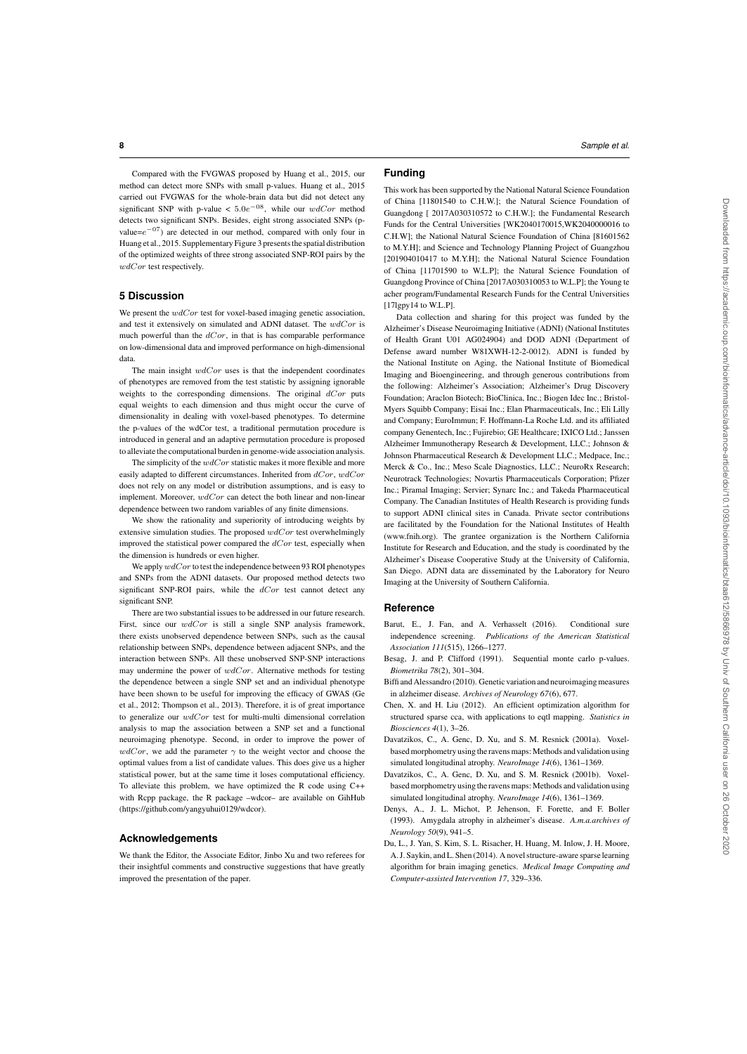**8** *Sample et al.*

Compared with the FVGWAS proposed by Huang et al., 2015, our method can detect more SNPs with small p-values. Huang et al., 2015 carried out FVGWAS for the whole-brain data but did not detect any significant SNP with p-value <  $5.0e^{-0.8}$ , while our  $wdCor$  method detects two significant SNPs. Besides, eight strong associated SNPs (pvalue= $e^{-07}$ ) are detected in our method, compared with only four in Huang et al., 2015. Supplementary Figure 3 presents the spatial distribution of the optimized weights of three strong associated SNP-ROI pairs by the wdCor test respectively.

## **5 Discussion**

We present the  $wdCor$  test for voxel-based imaging genetic association, and test it extensively on simulated and ADNI dataset. The  $wdCor$  is much powerful than the  $dCor$ , in that is has comparable performance on low-dimensional data and improved performance on high-dimensional data.

The main insight  $wdCor$  uses is that the independent coordinates of phenotypes are removed from the test statistic by assigning ignorable weights to the corresponding dimensions. The original  $dCor$  puts equal weights to each dimension and thus might occur the curve of dimensionality in dealing with voxel-based phenotypes. To determine the p-values of the wdCor test, a traditional permutation procedure is introduced in general and an adaptive permutation procedure is proposed to alleviate the computational burden in genome-wide association analysis.

The simplicity of the  $wdCor$  statistic makes it more flexible and more easily adapted to different circumstances. Inherited from  $dCor$ ,  $wdCor$ does not rely on any model or distribution assumptions, and is easy to implement. Moreover,  $wdCor$  can detect the both linear and non-linear dependence between two random variables of any finite dimensions.

We show the rationality and superiority of introducing weights by extensive simulation studies. The proposed  $wdCor$  test overwhelmingly improved the statistical power compared the  $dCor$  test, especially when the dimension is hundreds or even higher.

We apply  $wdCor$  to test the independence between 93 ROI phenotypes and SNPs from the ADNI datasets. Our proposed method detects two significant SNP-ROI pairs, while the dCor test cannot detect any significant SNP.

There are two substantial issues to be addressed in our future research. First, since our  $wdCor$  is still a single SNP analysis framework, there exists unobserved dependence between SNPs, such as the causal relationship between SNPs, dependence between adjacent SNPs, and the interaction between SNPs. All these unobserved SNP-SNP interactions may undermine the power of wdCor. Alternative methods for testing the dependence between a single SNP set and an individual phenotype have been shown to be useful for improving the efficacy of GWAS (Ge et al., 2012; Thompson et al., 2013). Therefore, it is of great importance to generalize our  $wdCor$  test for multi-multi dimensional correlation analysis to map the association between a SNP set and a functional neuroimaging phenotype. Second, in order to improve the power of  $wdCor$ , we add the parameter  $\gamma$  to the weight vector and choose the optimal values from a list of candidate values. This does give us a higher statistical power, but at the same time it loses computational efficiency. To alleviate this problem, we have optimized the R code using C++ with Rcpp package, the R package –wdcor– are available on GihHub (https://github.com/yangyuhui0129/wdcor).

#### **Acknowledgements**

We thank the Editor, the Associate Editor, Jinbo Xu and two referees for their insightful comments and constructive suggestions that have greatly improved the presentation of the paper.

# **Funding**

This work has been supported by the National Natural Science Foundation of China [11801540 to C.H.W.]; the Natural Science Foundation of Guangdong [ 2017A030310572 to C.H.W.]; the Fundamental Research Funds for the Central Universities [WK2040170015,WK2040000016 to C.H.W]; the National Natural Science Foundation of China [81601562 to M.Y.H]; and Science and Technology Planning Project of Guangzhou [201904010417 to M.Y.H]; the National Natural Science Foundation of China [11701590 to W.L.P]; the Natural Science Foundation of Guangdong Province of China [2017A030310053 to W.L.P]; the Young te acher program/Fundamental Research Funds for the Central Universities [17]gpy14 to W.L.P].

Data collection and sharing for this project was funded by the Alzheimer's Disease Neuroimaging Initiative (ADNI) (National Institutes of Health Grant U01 AG024904) and DOD ADNI (Department of Defense award number W81XWH-12-2-0012). ADNI is funded by the National Institute on Aging, the National Institute of Biomedical Imaging and Bioengineering, and through generous contributions from the following: Alzheimer's Association; Alzheimer's Drug Discovery Foundation; Araclon Biotech; BioClinica, Inc.; Biogen Idec Inc.; Bristol-Myers Squibb Company; Eisai Inc.; Elan Pharmaceuticals, Inc.; Eli Lilly and Company; EuroImmun; F. Hoffmann-La Roche Ltd. and its affiliated company Genentech, Inc.; Fujirebio; GE Healthcare; IXICO Ltd.; Janssen Alzheimer Immunotherapy Research & Development, LLC.; Johnson & Johnson Pharmaceutical Research & Development LLC.; Medpace, Inc.; Merck & Co., Inc.; Meso Scale Diagnostics, LLC.; NeuroRx Research; Neurotrack Technologies; Novartis Pharmaceuticals Corporation; Pfizer Inc.; Piramal Imaging; Servier; Synarc Inc.; and Takeda Pharmaceutical Company. The Canadian Institutes of Health Research is providing funds to support ADNI clinical sites in Canada. Private sector contributions are facilitated by the Foundation for the National Institutes of Health (www.fnih.org). The grantee organization is the Northern California Institute for Research and Education, and the study is coordinated by the Alzheimer's Disease Cooperative Study at the University of California, San Diego. ADNI data are disseminated by the Laboratory for Neuro Imaging at the University of Southern California.

## **Reference**

- Barut, E., J. Fan, and A. Verhasselt (2016). Conditional sure independence screening. *Publications of the American Statistical Association 111*(515), 1266–1277.
- Besag, J. and P. Clifford (1991). Sequential monte carlo p-values. *Biometrika 78*(2), 301–304.
- Biffi and Alessandro (2010). Genetic variation and neuroimaging measures in alzheimer disease. *Archives of Neurology 67*(6), 677.
- Chen, X. and H. Liu (2012). An efficient optimization algorithm for structured sparse cca, with applications to eqtl mapping. *Statistics in Biosciences 4*(1), 3–26.
- Davatzikos, C., A. Genc, D. Xu, and S. M. Resnick (2001a). Voxelbased morphometry using the ravens maps: Methods and validation using simulated longitudinal atrophy. *NeuroImage 14*(6), 1361–1369.
- Davatzikos, C., A. Genc, D. Xu, and S. M. Resnick (2001b). Voxelbased morphometry using the ravens maps: Methods and validation using simulated longitudinal atrophy. *NeuroImage 14*(6), 1361–1369.
- Denys, A., J. L. Michot, P. Jehenson, F. Forette, and F. Boller (1993). Amygdala atrophy in alzheimer's disease. *A.m.a.archives of Neurology 50*(9), 941–5.
- Du, L., J. Yan, S. Kim, S. L. Risacher, H. Huang, M. Inlow, J. H. Moore, A. J. Saykin, and L. Shen (2014). A novel structure-aware sparse learning algorithm for brain imaging genetics. *Medical Image Computing and Computer-assisted Intervention 17*, 329–336.